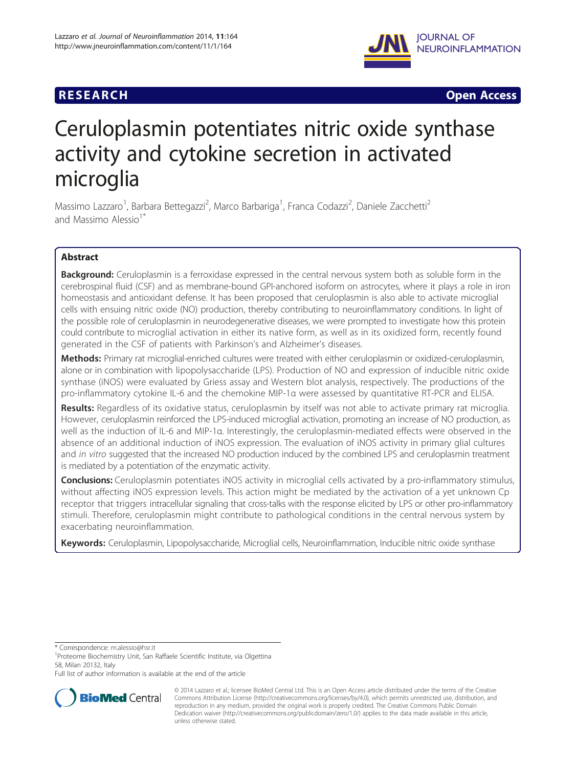# **RESEARCH RESEARCH** *CHECKER CHECKER CHECKER CHECKER CHECKER CHECKER CHECKER CHECKER CHECKER CHECKER CHECKER*



# Ceruloplasmin potentiates nitric oxide synthase activity and cytokine secretion in activated microglia

Massimo Lazzaro<sup>1</sup>, Barbara Bettegazzi<sup>2</sup>, Marco Barbariga<sup>1</sup>, Franca Codazzi<sup>2</sup>, Daniele Zacchetti<sup>2</sup> and Massimo Alessio<sup>1\*</sup>

# Abstract

Background: Ceruloplasmin is a ferroxidase expressed in the central nervous system both as soluble form in the cerebrospinal fluid (CSF) and as membrane-bound GPI-anchored isoform on astrocytes, where it plays a role in iron homeostasis and antioxidant defense. It has been proposed that ceruloplasmin is also able to activate microglial cells with ensuing nitric oxide (NO) production, thereby contributing to neuroinflammatory conditions. In light of the possible role of ceruloplasmin in neurodegenerative diseases, we were prompted to investigate how this protein could contribute to microglial activation in either its native form, as well as in its oxidized form, recently found generated in the CSF of patients with Parkinson's and Alzheimer's diseases.

Methods: Primary rat microglial-enriched cultures were treated with either ceruloplasmin or oxidized-ceruloplasmin, alone or in combination with lipopolysaccharide (LPS). Production of NO and expression of inducible nitric oxide synthase (iNOS) were evaluated by Griess assay and Western blot analysis, respectively. The productions of the pro-inflammatory cytokine IL-6 and the chemokine MIP-1α were assessed by quantitative RT-PCR and ELISA.

Results: Regardless of its oxidative status, ceruloplasmin by itself was not able to activate primary rat microglia. However, ceruloplasmin reinforced the LPS-induced microglial activation, promoting an increase of NO production, as well as the induction of IL-6 and MIP-1α. Interestingly, the ceruloplasmin-mediated effects were observed in the absence of an additional induction of iNOS expression. The evaluation of iNOS activity in primary glial cultures and in vitro suggested that the increased NO production induced by the combined LPS and ceruloplasmin treatment is mediated by a potentiation of the enzymatic activity.

**Conclusions:** Ceruloplasmin potentiates iNOS activity in microglial cells activated by a pro-inflammatory stimulus, without affecting iNOS expression levels. This action might be mediated by the activation of a yet unknown Cp receptor that triggers intracellular signaling that cross-talks with the response elicited by LPS or other pro-inflammatory stimuli. Therefore, ceruloplasmin might contribute to pathological conditions in the central nervous system by exacerbating neuroinflammation.

Keywords: Ceruloplasmin, Lipopolysaccharide, Microglial cells, Neuroinflammation, Inducible nitric oxide synthase

\* Correspondence: [m.alessio@hsr.it](mailto:m.alessio@hsr.it) <sup>1</sup>

<sup>1</sup> Proteome Biochemistry Unit, San Raffaele Scientific Institute, via Olgettina 58, Milan 20132, Italy

Full list of author information is available at the end of the article



<sup>© 2014</sup> Lazzaro et al.; licensee BioMed Central Ltd. This is an Open Access article distributed under the terms of the Creative Commons Attribution License [\(http://creativecommons.org/licenses/by/4.0\)](http://creativecommons.org/licenses/by/4.0), which permits unrestricted use, distribution, and reproduction in any medium, provided the original work is properly credited. The Creative Commons Public Domain Dedication waiver [\(http://creativecommons.org/publicdomain/zero/1.0/](http://creativecommons.org/publicdomain/zero/1.0/)) applies to the data made available in this article, unless otherwise stated.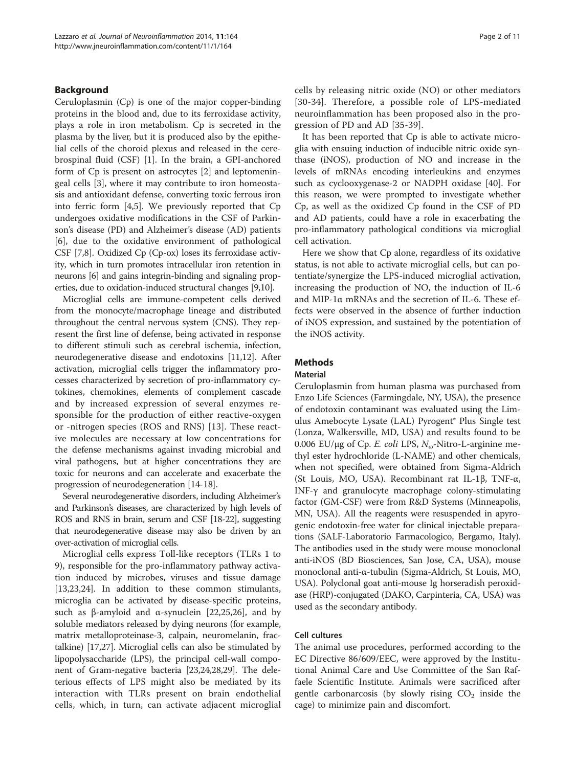## Background

Ceruloplasmin (Cp) is one of the major copper-binding proteins in the blood and, due to its ferroxidase activity, plays a role in iron metabolism. Cp is secreted in the plasma by the liver, but it is produced also by the epithelial cells of the choroid plexus and released in the cerebrospinal fluid (CSF) [\[1](#page-9-0)]. In the brain, a GPI-anchored form of Cp is present on astrocytes [[2\]](#page-9-0) and leptomeningeal cells [\[3\]](#page-9-0), where it may contribute to iron homeostasis and antioxidant defense, converting toxic ferrous iron into ferric form [\[4,5](#page-9-0)]. We previously reported that Cp undergoes oxidative modifications in the CSF of Parkinson's disease (PD) and Alzheimer's disease (AD) patients [[6\]](#page-9-0), due to the oxidative environment of pathological CSF [\[7,8](#page-9-0)]. Oxidized Cp (Cp-ox) loses its ferroxidase activity, which in turn promotes intracellular iron retention in neurons [[6](#page-9-0)] and gains integrin-binding and signaling properties, due to oxidation-induced structural changes [[9,10\]](#page-9-0).

Microglial cells are immune-competent cells derived from the monocyte/macrophage lineage and distributed throughout the central nervous system (CNS). They represent the first line of defense, being activated in response to different stimuli such as cerebral ischemia, infection, neurodegenerative disease and endotoxins [[11,12](#page-9-0)]. After activation, microglial cells trigger the inflammatory processes characterized by secretion of pro-inflammatory cytokines, chemokines, elements of complement cascade and by increased expression of several enzymes responsible for the production of either reactive-oxygen or -nitrogen species (ROS and RNS) [[13\]](#page-9-0). These reactive molecules are necessary at low concentrations for the defense mechanisms against invading microbial and viral pathogens, but at higher concentrations they are toxic for neurons and can accelerate and exacerbate the progression of neurodegeneration [\[14-18\]](#page-9-0).

Several neurodegenerative disorders, including Alzheimer's and Parkinson's diseases, are characterized by high levels of ROS and RNS in brain, serum and CSF [\[18-22](#page-9-0)], suggesting that neurodegenerative disease may also be driven by an over-activation of microglial cells.

Microglial cells express Toll-like receptors (TLRs 1 to 9), responsible for the pro-inflammatory pathway activation induced by microbes, viruses and tissue damage [[13,23,24\]](#page-9-0). In addition to these common stimulants, microglia can be activated by disease-specific proteins, such as β-amyloid and α-synuclein [[22,25,26](#page-9-0)], and by soluble mediators released by dying neurons (for example, matrix metalloproteinase-3, calpain, neuromelanin, fractalkine) [\[17,27](#page-9-0)]. Microglial cells can also be stimulated by lipopolysaccharide (LPS), the principal cell-wall component of Gram-negative bacteria [\[23,24,28,29](#page-9-0)]. The deleterious effects of LPS might also be mediated by its interaction with TLRs present on brain endothelial cells, which, in turn, can activate adjacent microglial cells by releasing nitric oxide (NO) or other mediators [[30](#page-9-0)-[34](#page-9-0)]. Therefore, a possible role of LPS-mediated neuroinflammation has been proposed also in the progression of PD and AD [[35-](#page-9-0)[39\]](#page-10-0).

It has been reported that Cp is able to activate microglia with ensuing induction of inducible nitric oxide synthase (iNOS), production of NO and increase in the levels of mRNAs encoding interleukins and enzymes such as cyclooxygenase-2 or NADPH oxidase [\[40](#page-10-0)]. For this reason, we were prompted to investigate whether Cp, as well as the oxidized Cp found in the CSF of PD and AD patients, could have a role in exacerbating the pro-inflammatory pathological conditions via microglial cell activation.

Here we show that Cp alone, regardless of its oxidative status, is not able to activate microglial cells, but can potentiate/synergize the LPS-induced microglial activation, increasing the production of NO, the induction of IL-6 and MIP-1 $\alpha$  mRNAs and the secretion of IL-6. These effects were observed in the absence of further induction of iNOS expression, and sustained by the potentiation of the iNOS activity.

## **Methods**

#### Material

Ceruloplasmin from human plasma was purchased from Enzo Life Sciences (Farmingdale, NY, USA), the presence of endotoxin contaminant was evaluated using the Limulus Amebocyte Lysate (LAL) Pyrogent® Plus Single test (Lonza, Walkersville, MD, USA) and results found to be 0.006 EU/μg of Cp. E. coli LPS,  $N_{\omega}$ -Nitro-L-arginine methyl ester hydrochloride (L-NAME) and other chemicals, when not specified, were obtained from Sigma-Aldrich (St Louis, MO, USA). Recombinant rat IL-1β, TNF-α, INF-γ and granulocyte macrophage colony-stimulating factor (GM-CSF) were from R&D Systems (Minneapolis, MN, USA). All the reagents were resuspended in apyrogenic endotoxin-free water for clinical injectable preparations (SALF-Laboratorio Farmacologico, Bergamo, Italy). The antibodies used in the study were mouse monoclonal anti-iNOS (BD Biosciences, San Jose, CA, USA), mouse monoclonal anti-α-tubulin (Sigma-Aldrich, St Louis, MO, USA). Polyclonal goat anti-mouse Ig horseradish peroxidase (HRP)-conjugated (DAKO, Carpinteria, CA, USA) was used as the secondary antibody.

#### Cell cultures

The animal use procedures, performed according to the EC Directive 86/609/EEC, were approved by the Institutional Animal Care and Use Committee of the San Raffaele Scientific Institute. Animals were sacrificed after gentle carbonarcosis (by slowly rising  $CO<sub>2</sub>$  inside the cage) to minimize pain and discomfort.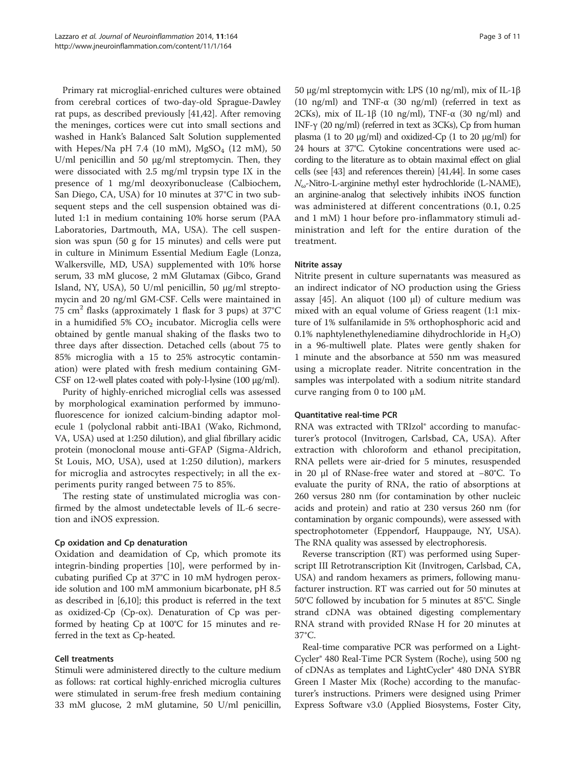Primary rat microglial-enriched cultures were obtained from cerebral cortices of two-day-old Sprague-Dawley rat pups, as described previously [\[41,42](#page-10-0)]. After removing the meninges, cortices were cut into small sections and washed in Hank's Balanced Salt Solution supplemented with Hepes/Na pH 7.4 (10 mM),  $MgSO_4$  (12 mM), 50 U/ml penicillin and 50 μg/ml streptomycin. Then, they were dissociated with 2.5 mg/ml trypsin type IX in the presence of 1 mg/ml deoxyribonuclease (Calbiochem, San Diego, CA, USA) for 10 minutes at 37°C in two subsequent steps and the cell suspension obtained was diluted 1:1 in medium containing 10% horse serum (PAA Laboratories, Dartmouth, MA, USA). The cell suspension was spun (50 g for 15 minutes) and cells were put in culture in Minimum Essential Medium Eagle (Lonza, Walkersville, MD, USA) supplemented with 10% horse serum, 33 mM glucose, 2 mM Glutamax (Gibco, Grand Island, NY, USA), 50 U/ml penicillin, 50 μg/ml streptomycin and 20 ng/ml GM-CSF. Cells were maintained in 75 cm<sup>2</sup> flasks (approximately 1 flask for 3 pups) at 37°C in a humidified 5%  $CO<sub>2</sub>$  incubator. Microglia cells were obtained by gentle manual shaking of the flasks two to three days after dissection. Detached cells (about 75 to 85% microglia with a 15 to 25% astrocytic contamination) were plated with fresh medium containing GM-CSF on 12-well plates coated with poly-l-lysine (100 μg/ml).

Purity of highly-enriched microglial cells was assessed by morphological examination performed by immunofluorescence for ionized calcium-binding adaptor molecule 1 (polyclonal rabbit anti-IBA1 (Wako, Richmond, VA, USA) used at 1:250 dilution), and glial fibrillary acidic protein (monoclonal mouse anti-GFAP (Sigma-Aldrich, St Louis, MO, USA), used at 1:250 dilution), markers for microglia and astrocytes respectively; in all the experiments purity ranged between 75 to 85%.

The resting state of unstimulated microglia was confirmed by the almost undetectable levels of IL-6 secretion and iNOS expression.

# Cp oxidation and Cp denaturation

Oxidation and deamidation of Cp, which promote its integrin-binding properties [[10\]](#page-9-0), were performed by incubating purified Cp at 37°C in 10 mM hydrogen peroxide solution and 100 mM ammonium bicarbonate, pH 8.5 as described in [\[6,10\]](#page-9-0); this product is referred in the text as oxidized-Cp (Cp-ox). Denaturation of Cp was performed by heating Cp at 100°C for 15 minutes and referred in the text as Cp-heated.

#### Cell treatments

Stimuli were administered directly to the culture medium as follows: rat cortical highly-enriched microglia cultures were stimulated in serum-free fresh medium containing 33 mM glucose, 2 mM glutamine, 50 U/ml penicillin,

50 μg/ml streptomycin with: LPS (10 ng/ml), mix of IL-1β (10 ng/ml) and TNF-α (30 ng/ml) (referred in text as 2CKs), mix of IL-1β (10 ng/ml), TNF- $\alpha$  (30 ng/ml) and INF-γ (20 ng/ml) (referred in text as 3CKs), Cp from human plasma (1 to 20 μg/ml) and oxidized-Cp (1 to 20 μg/ml) for 24 hours at 37°C. Cytokine concentrations were used according to the literature as to obtain maximal effect on glial cells (see [\[43](#page-10-0)] and references therein) [\[41,44\]](#page-10-0). In some cases  $N_{\omega}$ -Nitro-L-arginine methyl ester hydrochloride (L-NAME), an arginine-analog that selectively inhibits iNOS function was administered at different concentrations (0.1, 0.25 and 1 mM) 1 hour before pro-inflammatory stimuli administration and left for the entire duration of the treatment.

## Nitrite assay

Nitrite present in culture supernatants was measured as an indirect indicator of NO production using the Griess assay [\[45\]](#page-10-0). An aliquot (100 μl) of culture medium was mixed with an equal volume of Griess reagent (1:1 mixture of 1% sulfanilamide in 5% orthophosphoric acid and 0.1% naphtylenethylenediamine dihydrochloride in  $H_2O$ ) in a 96-multiwell plate. Plates were gently shaken for 1 minute and the absorbance at 550 nm was measured using a microplate reader. Nitrite concentration in the samples was interpolated with a sodium nitrite standard curve ranging from 0 to 100 μΜ.

#### Quantitative real-time PCR

RNA was extracted with TRIzol® according to manufacturer's protocol (Invitrogen, Carlsbad, CA, USA). After extraction with chloroform and ethanol precipitation, RNA pellets were air-dried for 5 minutes, resuspended in 20 μl of RNase-free water and stored at −80°C. To evaluate the purity of RNA, the ratio of absorptions at 260 versus 280 nm (for contamination by other nucleic acids and protein) and ratio at 230 versus 260 nm (for contamination by organic compounds), were assessed with spectrophotometer (Eppendorf, Hauppauge, NY, USA). The RNA quality was assessed by electrophoresis.

Reverse transcription (RT) was performed using Superscript III Retrotranscription Kit (Invitrogen, Carlsbad, CA, USA) and random hexamers as primers, following manufacturer instruction. RT was carried out for 50 minutes at 50°C followed by incubation for 5 minutes at 85°C. Single strand cDNA was obtained digesting complementary RNA strand with provided RNase H for 20 minutes at 37°C.

Real-time comparative PCR was performed on a Light-Cycler® 480 Real-Time PCR System (Roche), using 500 ng of cDNAs as templates and LightCycler® 480 DNA SYBR Green I Master Mix (Roche) according to the manufacturer's instructions. Primers were designed using Primer Express Software v3.0 (Applied Biosystems, Foster City,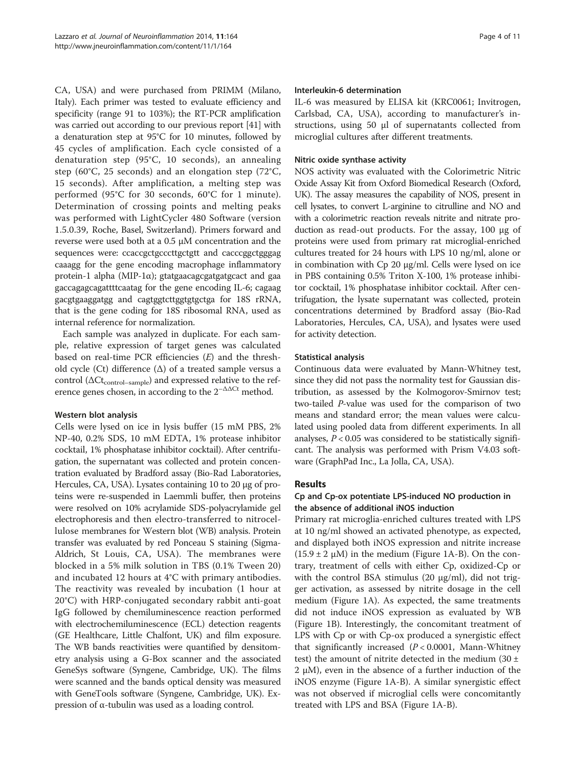CA, USA) and were purchased from PRIMM (Milano, Italy). Each primer was tested to evaluate efficiency and specificity (range 91 to 103%); the RT-PCR amplification was carried out according to our previous report [\[41](#page-10-0)] with a denaturation step at 95°C for 10 minutes, followed by 45 cycles of amplification. Each cycle consisted of a denaturation step (95°C, 10 seconds), an annealing step (60°C, 25 seconds) and an elongation step (72°C, 15 seconds). After amplification, a melting step was performed (95°C for 30 seconds, 60°C for 1 minute). Determination of crossing points and melting peaks was performed with LightCycler 480 Software (version 1.5.0.39, Roche, Basel, Switzerland). Primers forward and reverse were used both at a 0.5 μM concentration and the sequences were: ccaccgctgcccttgctgtt and cacccggctgggag caaagg for the gene encoding macrophage inflammatory protein-1 alpha (MIP-1 $\alpha$ ); gtatgaacagcgatgatgcact and gaa gaccagagcagattttcaatag for the gene encoding IL-6; cagaag gacgtgaaggatgg and cagtggtcttggtgtgctga for 18S rRNA, that is the gene coding for 18S ribosomal RNA, used as internal reference for normalization.

Each sample was analyzed in duplicate. For each sample, relative expression of target genes was calculated based on real-time PCR efficiencies  $(E)$  and the threshold cycle (Ct) difference (Δ) of a treated sample versus a control ( $\Delta \rm{Ct_{control-sample}}$ ) and expressed relative to the reference genes chosen, in according to the  $2^{-\Delta\Delta Ct}$  method.

# Western blot analysis

Cells were lysed on ice in lysis buffer (15 mM PBS, 2% NP-40, 0.2% SDS, 10 mM EDTA, 1% protease inhibitor cocktail, 1% phosphatase inhibitor cocktail). After centrifugation, the supernatant was collected and protein concentration evaluated by Bradford assay (Bio-Rad Laboratories, Hercules, CA, USA). Lysates containing 10 to 20 μg of proteins were re-suspended in Laemmli buffer, then proteins were resolved on 10% acrylamide SDS-polyacrylamide gel electrophoresis and then electro-transferred to nitrocellulose membranes for Western blot (WB) analysis. Protein transfer was evaluated by red Ponceau S staining (Sigma-Aldrich, St Louis, CA, USA). The membranes were blocked in a 5% milk solution in TBS (0.1% Tween 20) and incubated 12 hours at 4°C with primary antibodies. The reactivity was revealed by incubation (1 hour at 20°C) with HRP-conjugated secondary rabbit anti-goat IgG followed by chemiluminescence reaction performed with electrochemiluminescence (ECL) detection reagents (GE Healthcare, Little Chalfont, UK) and film exposure. The WB bands reactivities were quantified by densitometry analysis using a G-Box scanner and the associated GeneSys software (Syngene, Cambridge, UK). The films were scanned and the bands optical density was measured with GeneTools software (Syngene, Cambridge, UK). Expression of α-tubulin was used as a loading control.

#### Interleukin-6 determination

IL-6 was measured by ELISA kit (KRC0061; Invitrogen, Carlsbad, CA, USA), according to manufacturer's instructions, using 50 μl of supernatants collected from microglial cultures after different treatments.

## Nitric oxide synthase activity

NOS activity was evaluated with the Colorimetric Nitric Oxide Assay Kit from Oxford Biomedical Research (Oxford, UK). The assay measures the capability of NOS, present in cell lysates, to convert L-arginine to citrulline and NO and with a colorimetric reaction reveals nitrite and nitrate production as read-out products. For the assay, 100 μg of proteins were used from primary rat microglial-enriched cultures treated for 24 hours with LPS 10 ng/ml, alone or in combination with Cp 20 μg/ml. Cells were lysed on ice in PBS containing 0.5% Triton X-100, 1% protease inhibitor cocktail, 1% phosphatase inhibitor cocktail. After centrifugation, the lysate supernatant was collected, protein concentrations determined by Bradford assay (Bio-Rad Laboratories, Hercules, CA, USA), and lysates were used for activity detection.

#### Statistical analysis

Continuous data were evaluated by Mann-Whitney test, since they did not pass the normality test for Gaussian distribution, as assessed by the Kolmogorov-Smirnov test; two-tailed P-value was used for the comparison of two means and standard error; the mean values were calculated using pooled data from different experiments. In all analyses,  $P < 0.05$  was considered to be statistically significant. The analysis was performed with Prism V4.03 software (GraphPad Inc., La Jolla, CA, USA).

# Results

# Cp and Cp-ox potentiate LPS-induced NO production in the absence of additional iNOS induction

Primary rat microglia-enriched cultures treated with LPS at 10 ng/ml showed an activated phenotype, as expected, and displayed both iNOS expression and nitrite increase  $(15.9 \pm 2 \mu M)$  in the medium (Figure [1](#page-4-0)A-B). On the contrary, treatment of cells with either Cp, oxidized-Cp or with the control BSA stimulus  $(20 \mu g/ml)$ , did not trigger activation, as assessed by nitrite dosage in the cell medium (Figure [1](#page-4-0)A). As expected, the same treatments did not induce iNOS expression as evaluated by WB (Figure [1](#page-4-0)B). Interestingly, the concomitant treatment of LPS with Cp or with Cp-ox produced a synergistic effect that significantly increased  $(P < 0.0001$ , Mann-Whitney test) the amount of nitrite detected in the medium  $(30 \pm 1)$ 2  $\mu$ M), even in the absence of a further induction of the iNOS enzyme (Figure [1A](#page-4-0)-B). A similar synergistic effect was not observed if microglial cells were concomitantly treated with LPS and BSA (Figure [1](#page-4-0)A-B).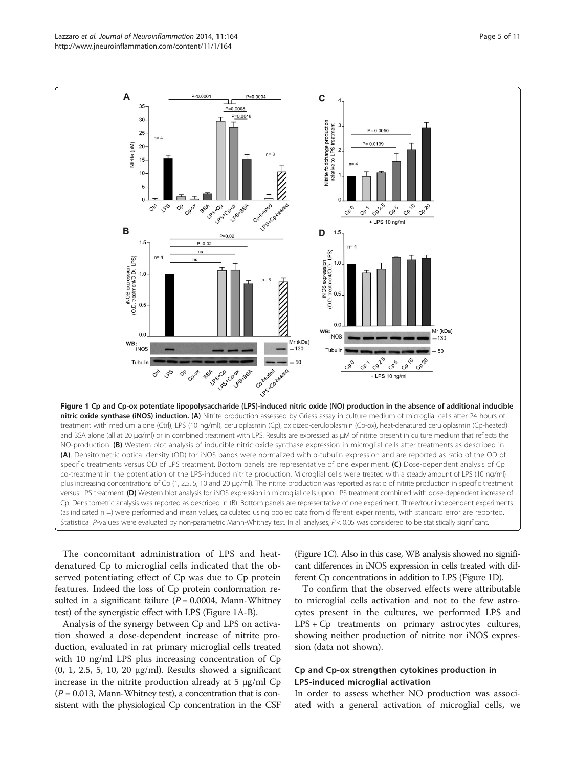<span id="page-4-0"></span>

The concomitant administration of LPS and heatdenatured Cp to microglial cells indicated that the observed potentiating effect of Cp was due to Cp protein features. Indeed the loss of Cp protein conformation resulted in a significant failure ( $P = 0.0004$ , Mann-Whitney test) of the synergistic effect with LPS (Figure 1A-B).

Analysis of the synergy between Cp and LPS on activation showed a dose-dependent increase of nitrite production, evaluated in rat primary microglial cells treated with 10 ng/ml LPS plus increasing concentration of Cp (0, 1, 2.5, 5, 10, 20 μg/ml). Results showed a significant increase in the nitrite production already at  $5 \mu g/ml$  Cp  $(P = 0.013,$  Mann-Whitney test), a concentration that is consistent with the physiological Cp concentration in the CSF (Figure 1C). Also in this case, WB analysis showed no significant differences in iNOS expression in cells treated with different Cp concentrations in addition to LPS (Figure 1D).

To confirm that the observed effects were attributable to microglial cells activation and not to the few astrocytes present in the cultures, we performed LPS and LPS + Cp treatments on primary astrocytes cultures, showing neither production of nitrite nor iNOS expression (data not shown).

# Cp and Cp-ox strengthen cytokines production in LPS-induced microglial activation

In order to assess whether NO production was associated with a general activation of microglial cells, we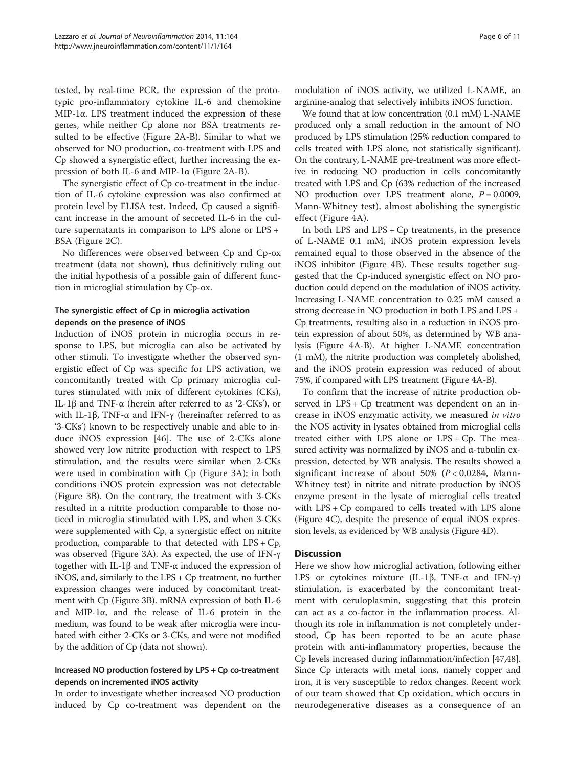tested, by real-time PCR, the expression of the prototypic pro-inflammatory cytokine IL-6 and chemokine MIP-1α. LPS treatment induced the expression of these genes, while neither Cp alone nor BSA treatments resulted to be effective (Figure [2](#page-6-0)A-B). Similar to what we observed for NO production, co-treatment with LPS and Cp showed a synergistic effect, further increasing the expression of both IL-6 and MIP-1α (Figure [2](#page-6-0)A-B).

The synergistic effect of Cp co-treatment in the induction of IL-6 cytokine expression was also confirmed at protein level by ELISA test. Indeed, Cp caused a significant increase in the amount of secreted IL-6 in the culture supernatants in comparison to LPS alone or LPS + BSA (Figure [2](#page-6-0)C).

No differences were observed between Cp and Cp-ox treatment (data not shown), thus definitively ruling out the initial hypothesis of a possible gain of different function in microglial stimulation by Cp-ox.

# The synergistic effect of Cp in microglia activation depends on the presence of iNOS

Induction of iNOS protein in microglia occurs in response to LPS, but microglia can also be activated by other stimuli. To investigate whether the observed synergistic effect of Cp was specific for LPS activation, we concomitantly treated with Cp primary microglia cultures stimulated with mix of different cytokines (CKs), IL-1β and TNF-α (herein after referred to as '2-CKs'), or with IL-1β, TNF- $\alpha$  and IFN- $\gamma$  (hereinafter referred to as '3-CKs') known to be respectively unable and able to induce iNOS expression [\[46\]](#page-10-0). The use of 2-CKs alone showed very low nitrite production with respect to LPS stimulation, and the results were similar when 2-CKs were used in combination with Cp (Figure [3](#page-7-0)A); in both conditions iNOS protein expression was not detectable (Figure [3](#page-7-0)B). On the contrary, the treatment with 3-CKs resulted in a nitrite production comparable to those noticed in microglia stimulated with LPS, and when 3-CKs were supplemented with Cp, a synergistic effect on nitrite production, comparable to that detected with LPS + Cp, was observed (Figure [3](#page-7-0)A). As expected, the use of IFN-γ together with IL-1β and TNF-α induced the expression of iNOS, and, similarly to the LPS + Cp treatment, no further expression changes were induced by concomitant treatment with Cp (Figure [3](#page-7-0)B). mRNA expression of both IL-6 and MIP-1α, and the release of IL-6 protein in the medium, was found to be weak after microglia were incubated with either 2-CKs or 3-CKs, and were not modified by the addition of Cp (data not shown).

# Increased NO production fostered by LPS + Cp co-treatment depends on incremented iNOS activity

In order to investigate whether increased NO production induced by Cp co-treatment was dependent on the

modulation of iNOS activity, we utilized L-NAME, an arginine-analog that selectively inhibits iNOS function.

We found that at low concentration (0.1 mM) L-NAME produced only a small reduction in the amount of NO produced by LPS stimulation (25% reduction compared to cells treated with LPS alone, not statistically significant). On the contrary, L-NAME pre-treatment was more effective in reducing NO production in cells concomitantly treated with LPS and Cp (63% reduction of the increased NO production over LPS treatment alone,  $P = 0.0009$ , Mann-Whitney test), almost abolishing the synergistic effect (Figure [4A](#page-8-0)).

In both LPS and  $LPS + Cp$  treatments, in the presence of L-NAME 0.1 mM, iNOS protein expression levels remained equal to those observed in the absence of the iNOS inhibitor (Figure [4](#page-8-0)B). These results together suggested that the Cp-induced synergistic effect on NO production could depend on the modulation of iNOS activity. Increasing L-NAME concentration to 0.25 mM caused a strong decrease in NO production in both LPS and LPS + Cp treatments, resulting also in a reduction in iNOS protein expression of about 50%, as determined by WB analysis (Figure [4A](#page-8-0)-B). At higher L-NAME concentration (1 mM), the nitrite production was completely abolished, and the iNOS protein expression was reduced of about 75%, if compared with LPS treatment (Figure [4](#page-8-0)A-B).

To confirm that the increase of nitrite production observed in LPS + Cp treatment was dependent on an increase in iNOS enzymatic activity, we measured in vitro the NOS activity in lysates obtained from microglial cells treated either with LPS alone or LPS + Cp. The measured activity was normalized by iNOS and α-tubulin expression, detected by WB analysis. The results showed a significant increase of about 50% ( $P < 0.0284$ , Mann-Whitney test) in nitrite and nitrate production by iNOS enzyme present in the lysate of microglial cells treated with LPS + Cp compared to cells treated with LPS alone (Figure [4C](#page-8-0)), despite the presence of equal iNOS expression levels, as evidenced by WB analysis (Figure [4](#page-8-0)D).

# **Discussion**

Here we show how microglial activation, following either LPS or cytokines mixture (IL-1β, TNF- $\alpha$  and IFN- $\gamma$ ) stimulation, is exacerbated by the concomitant treatment with ceruloplasmin, suggesting that this protein can act as a co-factor in the inflammation process. Although its role in inflammation is not completely understood, Cp has been reported to be an acute phase protein with anti-inflammatory properties, because the Cp levels increased during inflammation/infection [\[47,48](#page-10-0)]. Since Cp interacts with metal ions, namely copper and iron, it is very susceptible to redox changes. Recent work of our team showed that Cp oxidation, which occurs in neurodegenerative diseases as a consequence of an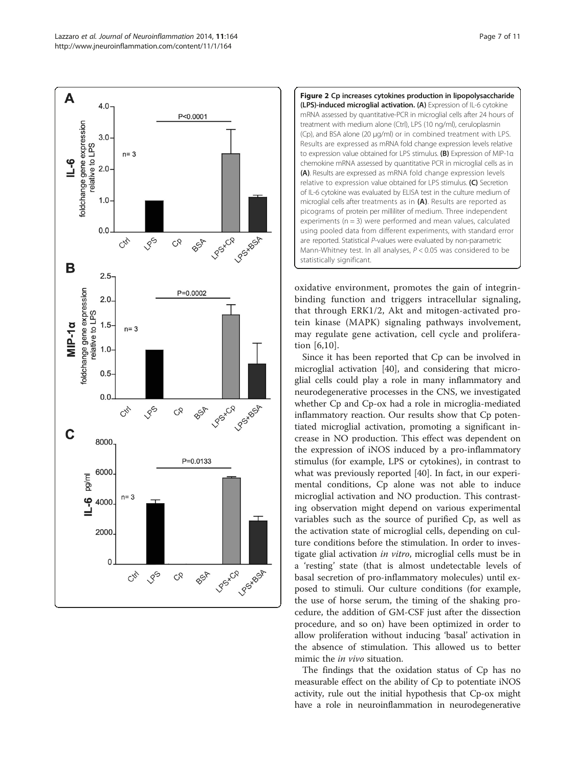<span id="page-6-0"></span>



oxidative environment, promotes the gain of integrinbinding function and triggers intracellular signaling, that through ERK1/2, Akt and mitogen-activated protein kinase (MAPK) signaling pathways involvement, may regulate gene activation, cell cycle and proliferation [[6,10](#page-9-0)].

Since it has been reported that Cp can be involved in microglial activation [\[40\]](#page-10-0), and considering that microglial cells could play a role in many inflammatory and neurodegenerative processes in the CNS, we investigated whether Cp and Cp-ox had a role in microglia-mediated inflammatory reaction. Our results show that Cp potentiated microglial activation, promoting a significant increase in NO production. This effect was dependent on the expression of iNOS induced by a pro-inflammatory stimulus (for example, LPS or cytokines), in contrast to what was previously reported [[40](#page-10-0)]. In fact, in our experimental conditions, Cp alone was not able to induce microglial activation and NO production. This contrasting observation might depend on various experimental variables such as the source of purified Cp, as well as the activation state of microglial cells, depending on culture conditions before the stimulation. In order to investigate glial activation *in vitro*, microglial cells must be in a 'resting' state (that is almost undetectable levels of basal secretion of pro-inflammatory molecules) until exposed to stimuli. Our culture conditions (for example, the use of horse serum, the timing of the shaking procedure, the addition of GM-CSF just after the dissection procedure, and so on) have been optimized in order to allow proliferation without inducing 'basal' activation in the absence of stimulation. This allowed us to better mimic the *in vivo* situation.

The findings that the oxidation status of Cp has no measurable effect on the ability of Cp to potentiate iNOS activity, rule out the initial hypothesis that Cp-ox might have a role in neuroinflammation in neurodegenerative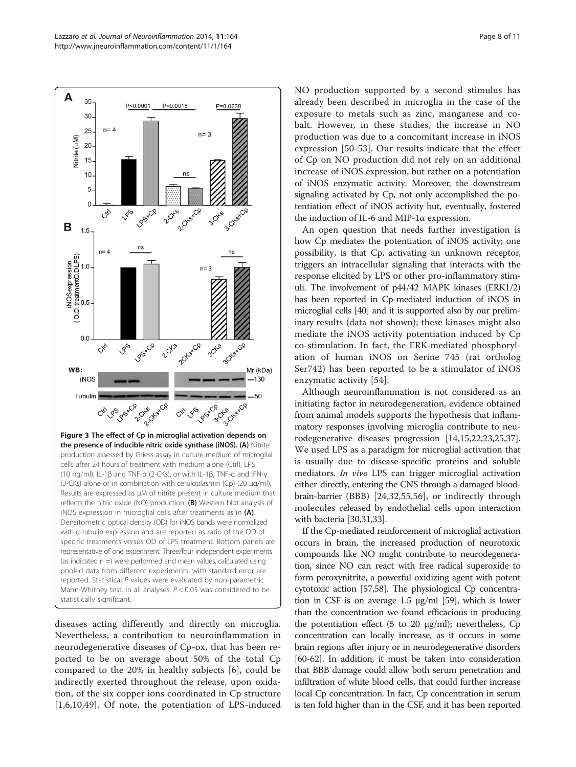<span id="page-7-0"></span>

diseases acting differently and directly on microglia. Nevertheless, a contribution to neuroinflammation in neurodegenerative diseases of Cp-ox, that has been reported to be on average about 50% of the total Cp compared to the 20% in healthy subjects [\[6\]](#page-9-0), could be indirectly exerted throughout the release, upon oxidation, of the six copper ions coordinated in Cp structure [[1,6](#page-9-0),[10,](#page-9-0)[49](#page-10-0)]. Of note, the potentiation of LPS-induced NO production supported by a second stimulus has already been described in microglia in the case of the exposure to metals such as zinc, manganese and cobalt. However, in these studies, the increase in NO production was due to a concomitant increase in iNOS expression [\[50](#page-10-0)-[53](#page-10-0)]. Our results indicate that the effect of Cp on NO production did not rely on an additional increase of iNOS expression, but rather on a potentiation of iNOS enzymatic activity. Moreover, the downstream signaling activated by Cp, not only accomplished the potentiation effect of iNOS activity but, eventually, fostered the induction of IL-6 and MIP-1α expression.

An open question that needs further investigation is how Cp mediates the potentiation of iNOS activity; one possibility, is that Cp, activating an unknown receptor, triggers an intracellular signaling that interacts with the response elicited by LPS or other pro-inflammatory stimuli. The involvement of p44/42 MAPK kinases (ERK1/2) has been reported in Cp-mediated induction of iNOS in microglial cells [[40\]](#page-10-0) and it is supported also by our preliminary results (data not shown); these kinases might also mediate the iNOS activity potentiation induced by Cp co-stimulation. In fact, the ERK-mediated phosphorylation of human iNOS on Serine 745 (rat ortholog Ser742) has been reported to be a stimulator of iNOS enzymatic activity [[54\]](#page-10-0).

Although neuroinflammation is not considered as an initiating factor in neurodegeneration, evidence obtained from animal models supports the hypothesis that inflammatory responses involving microglia contribute to neurodegenerative diseases progression [[14](#page-9-0),[15](#page-9-0),[22](#page-9-0),[23,25,37](#page-9-0)]. We used LPS as a paradigm for microglial activation that is usually due to disease-specific proteins and soluble mediators. In vivo LPS can trigger microglial activation either directly, entering the CNS through a damaged bloodbrain-barrier (BBB) [[24,32,](#page-9-0)[55,56](#page-10-0)], or indirectly through molecules released by endothelial cells upon interaction with bacteria [\[30,31,33](#page-9-0)].

If the Cp-mediated reinforcement of microglial activation occurs in brain, the increased production of neurotoxic compounds like NO might contribute to neurodegeneration, since NO can react with free radical superoxide to form peroxynitrite, a powerful oxidizing agent with potent cytotoxic action [[57,58\]](#page-10-0). The physiological Cp concentration in CSF is on average 1.5 μg/ml [\[59\]](#page-10-0), which is lower than the concentration we found efficacious in producing the potentiation effect  $(5 \text{ to } 20 \text{ µg/ml})$ ; nevertheless, Cp concentration can locally increase, as it occurs in some brain regions after injury or in neurodegenerative disorders [[60](#page-10-0)-[62](#page-10-0)]. In addition, it must be taken into consideration that BBB damage could allow both serum penetration and infiltration of white blood cells, that could further increase local Cp concentration. In fact, Cp concentration in serum is ten fold higher than in the CSF, and it has been reported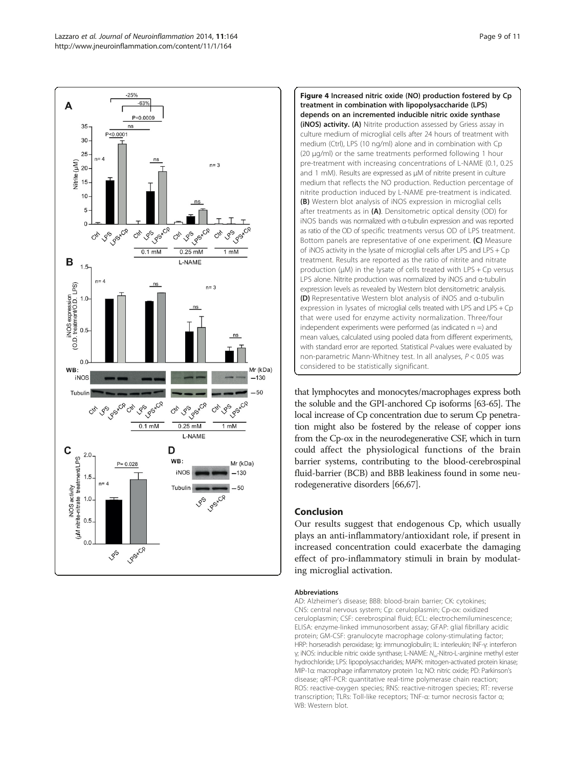<span id="page-8-0"></span>



that lymphocytes and monocytes/macrophages express both the soluble and the GPI-anchored Cp isoforms [\[63-65](#page-10-0)]. The local increase of Cp concentration due to serum Cp penetration might also be fostered by the release of copper ions from the Cp-ox in the neurodegenerative CSF, which in turn could affect the physiological functions of the brain barrier systems, contributing to the blood-cerebrospinal fluid-barrier (BCB) and BBB leakiness found in some neurodegenerative disorders [\[66,67\]](#page-10-0).

# Conclusion

Our results suggest that endogenous Cp, which usually plays an anti-inflammatory/antioxidant role, if present in increased concentration could exacerbate the damaging effect of pro-inflammatory stimuli in brain by modulating microglial activation.

#### Abbreviations

AD: Alzheimer's disease; BBB: blood-brain barrier; CK: cytokines; CNS: central nervous system; Cp: ceruloplasmin; Cp-ox: oxidized ceruloplasmin; CSF: cerebrospinal fluid; ECL: electrochemiluminescence; ELISA: enzyme-linked immunosorbent assay; GFAP: glial fibrillary acidic protein; GM-CSF: granulocyte macrophage colony-stimulating factor; HRP: horseradish peroxidase; Ig: immunoglobulin; IL: interleukin; INF-γ: interferon γ; iNOS: inducible nitric oxide synthase; L-NAME: Nω-Nitro-L-arginine methyl ester hydrochloride; LPS: lipopolysaccharides; MAPK: mitogen-activated protein kinase; MIP-1α: macrophage inflammatory protein 1α; NO: nitric oxide; PD: Parkinson's disease; qRT-PCR: quantitative real-time polymerase chain reaction; ROS: reactive-oxygen species; RNS: reactive-nitrogen species; RT: reverse transcription; TLRs: Toll-like receptors; TNF-α: tumor necrosis factor α; WB: Western blot.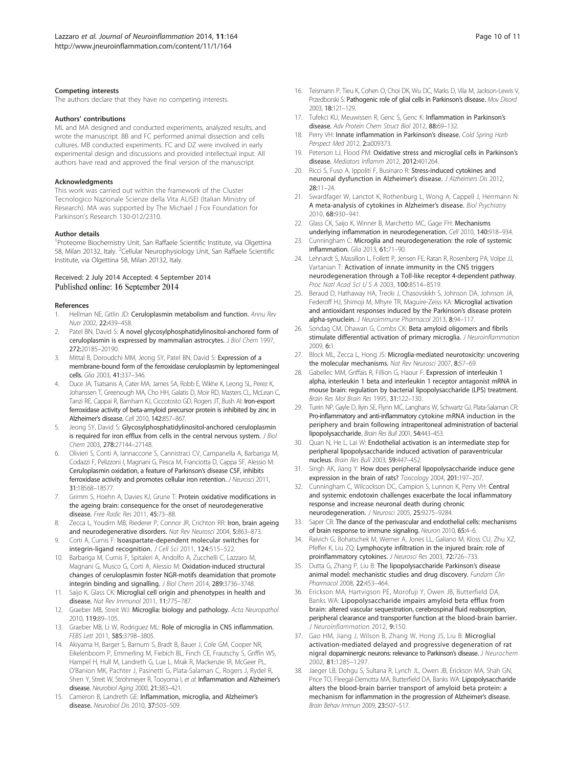#### <span id="page-9-0"></span>Competing interests

The authors declare that they have no competing interests.

#### Authors' contributions

ML and MA designed and conducted experiments, analyzed results, and wrote the manuscript. BB and FC performed animal dissection and cells cultures. MB conducted experiments. FC and DZ were involved in early experimental design and discussions and provided intellectual input. All authors have read and approved the final version of the manuscript.

#### **Acknowledaments**

This work was carried out within the framework of the Cluster Tecnologico Nazionale Scienze della Vita ALISEI (Italian Ministry of Research). MA was supported by The Michael J Fox Foundation for Parkinson's Research 130-012/2310.

#### Author details

<sup>1</sup> Proteome Biochemistry Unit, San Raffaele Scientific Institute, via Olgettina 58, Milan 20132, Italy. <sup>2</sup>Cellular Neurophysiology Unit, San Raffaele Scientific Institute, via Olgettina 58, Milan 20132, Italy.

# Received: 2 July 2014 Accepted: 4 September 2014

#### References

- Hellman NE, Gitlin JD: Ceruloplasmin metabolism and function. Annu Rev Nutr 2002, 22:439–458.
- Patel BN, David S: A novel glycosylphosphatidylinositol-anchored form of ceruloplasmin is expressed by mammalian astrocytes. J Biol Chem 1997, 272:20185–20190.
- Mittal B, Doroudchi MM, Jeong SY, Patel BN, David S: Expression of a membrane-bound form of the ferroxidase ceruloplasmin by leptomeningeal cells. Glia 2003, 41:337–346.
- Duce JA, Tsatsanis A, Cater MA, James SA, Robb E, Wikhe K, Leong SL, Perez K, Johanssen T, Greenough MA, Cho HH, Galatis D, Moir RD, Masters CL, McLean C, Tanzi RE, Cappai R, Barnham KJ, Ciccotosto GD, Rogers JT, Bush AI: Iron-export ferroxidase activity of beta-amyloid precursor protein is inhibited by zinc in Alzheimer's disease. Cell 2010, 142:857–867.
- Jeong SY, David S: Glycosylphosphatidylinositol-anchored ceruloplasmin is required for iron efflux from cells in the central nervous system. J Biol Chem 2003, 278:27144–27148.
- 6. Olivieri S, Conti A, Iannaccone S, Cannistraci CV, Campanella A, Barbariga M, Codazzi F, Pelizzoni I, Magnani G, Pesca M, Franciotta D, Cappa SF, Alessio M: Ceruloplasmin oxidation, a feature of Parkinson's disease CSF, inhibits ferroxidase activity and promotes cellular iron retention. *J Neurosci* 2011, 31:18568–18577.
- 7. Grimm S, Hoehn A, Davies KJ, Grune T: Protein oxidative modifications in the ageing brain: consequence for the onset of neurodegenerative disease. Free Radic Res 2011, 45:73–88.
- 8. Zecca L, Youdim MB, Riederer P, Connor JR, Crichton RR: Iron, brain ageing and neurodegenerative disorders. Nat Rev Neurosci 2004, 5:863–873.
- 9. Corti A, Curnis F: Isoaspartate-dependent molecular switches for integrin-ligand recognition. J Cell Sci 2011, 124:515–522.
- 10. Barbariga M, Curnis F, Spitaleri A, Andolfo A, Zucchelli C, Lazzaro M, Magnani G, Musco G, Corti A, Alessio M: Oxidation-induced structural changes of ceruloplasmin foster NGR-motifs deamidation that promote integrin binding and signalling. J Biol Chem 2014, 289:3736–3748.
- 11. Saijo K, Glass CK: Microglial cell origin and phenotypes in health and disease. Nat Rev Immunol 2011, 11:775–787.
- 12. Graeber MB, Streit WJ: Microglia: biology and pathology. Acta Neuropathol 2010, 119:89–105.
- 13. Graeber MB, Li W, Rodriguez ML: Role of microglia in CNS inflammation. FEBS Lett 2011, 585:3798–3805.
- 14. Akiyama H, Barger S, Barnum S, Bradt B, Bauer J, Cole GM, Cooper NR, Eikelenboom P, Emmerling M, Fiebich BL, Finch CE, Frautschy S, Griffin WS, Hampel H, Hull M, Landreth G, Lue L, Mrak R, Mackenzie IR, McGeer PL, O'Banion MK, Pachter J, Pasinetti G, Plata-Salaman C, Rogers J, Rydel R, Shen Y, Streit W, Strohmeyer R, Tooyoma I, et al: Inflammation and Alzheimer's disease. Neurobiol Aging 2000, 21:383–421.
- 15. Cameron B, Landreth GE: Inflammation, microglia, and Alzheimer's disease. Neurobiol Dis 2010, 37:503–509.
- 16. Teismann P, Tieu K, Cohen O, Choi DK, Wu DC, Marks D, Vila M, Jackson-Lewis V, Przedborski S: Pathogenic role of glial cells in Parkinson's disease. Mov Disord 2003, 18:121–129.
- 17. Tufekci KU, Meuwissen R, Genc S, Genc K: Inflammation in Parkinson's disease. Adv Protein Chem Struct Biol 2012, 88:69–132.
- 18. Perry VH: Innate inflammation in Parkinson's disease. Cold Spring Harb Perspect Med 2012, 2:a009373.
- 19. Peterson LJ, Flood PM: Oxidative stress and microglial cells in Parkinson's disease. Mediators Inflamm 2012, 2012:401264.
- 20. Ricci S, Fuso A, Ippoliti F, Businaro R: Stress-induced cytokines and neuronal dysfunction in Alzheimer's disease. J Alzheimers Dis 2012, 28:11–24.
- 21. Swardfager W, Lanctot K, Rothenburg L, Wong A, Cappell J, Herrmann N: A meta-analysis of cytokines in Alzheimer's disease. Biol Psychiatry 2010, 68:930–941.
- 22. Glass CK, Saijo K, Winner B, Marchetto MC, Gage FH: Mechanisms underlying inflammation in neurodegeneration. Cell 2010, 140:918–934.
- 23. Cunningham C: Microglia and neurodegeneration: the role of systemic inflammation. Glia 2013, 61:71–90.
- 24. Lehnardt S, Massillon L, Follett P, Jensen FE, Ratan R, Rosenberg PA, Volpe JJ, Vartanian T: Activation of innate immunity in the CNS triggers neurodegeneration through a Toll-like receptor 4-dependent pathway. Proc Natl Acad Sci U S A 2003, 100:8514–8519.
- 25. Beraud D, Hathaway HA, Trecki J, Chasovskikh S, Johnson DA, Johnson JA, Federoff HJ, Shimoji M, Mhyre TR, Maguire-Zeiss KA: Microglial activation and antioxidant responses induced by the Parkinson's disease protein alpha-synuclein. J Neuroimmune Pharmacol 2013, 8:94–117.
- 26. Sondag CM, Dhawan G, Combs CK: Beta amyloid oligomers and fibrils stimulate differential activation of primary microglia. J Neuroinflammation 2009, 6:1.
- 27. Block ML, Zecca L, Hong JS: Microglia-mediated neurotoxicity: uncovering the molecular mechanisms. Nat Rev Neurosci 2007, 8:57–69.
- 28. Gabellec MM, Griffais R, Fillion G, Haour F: Expression of interleukin 1 alpha, interleukin 1 beta and interleukin 1 receptor antagonist mRNA in mouse brain: regulation by bacterial lipopolysaccharide (LPS) treatment. Brain Res Mol Brain Res 1995, 31:122–130.
- 29. Turrin NP, Gayle D, Ilyin SE, Flynn MC, Langhans W, Schwartz GJ, Plata-Salaman CR: Pro-inflammatory and anti-inflammatory cytokine mRNA induction in the periphery and brain following intraperitoneal administration of bacterial lipopolysaccharide. Brain Res Bull 2001, 54:443–453.
- 30. Quan N, He L, Lai W: Endothelial activation is an intermediate step for peripheral lipopolysaccharide induced activation of paraventricular nucleus. Brain Res Bull 2003, 59:447–452.
- 31. Singh AK, Jiang Y: How does peripheral lipopolysaccharide induce gene expression in the brain of rats? Toxicology 2004, 201:197–207.
- 32. Cunningham C, Wilcockson DC, Campion S, Lunnon K, Perry VH: Central and systemic endotoxin challenges exacerbate the local inflammatory response and increase neuronal death during chronic neurodegeneration. J Neurosci 2005, 25:9275–9284.
- 33. Saper CB: The dance of the perivascular and endothelial cells: mechanisms of brain response to immune signaling. Neuron 2010, 65:4–6.
- 34. Raivich G, Bohatschek M, Werner A, Jones LL, Galiano M, Kloss CU, Zhu XZ, Pfeffer K, Liu ZQ: Lymphocyte infiltration in the injured brain: role of proinflammatory cytokines. J Neurosci Res 2003, 72:726–733.
- 35. Dutta G, Zhang P, Liu B: The lipopolysaccharide Parkinson's disease animal model: mechanistic studies and drug discovery. Fundam Clin Pharmacol 2008, 22:453–464.
- 36. Erickson MA, Hartvigson PE, Morofuji Y, Owen JB, Butterfield DA, Banks WA: Lipopolysaccharide impairs amyloid beta efflux from brain: altered vascular sequestration, cerebrospinal fluid reabsorption, peripheral clearance and transporter function at the blood-brain barrier. J Neuroinflammation 2012, 9:150.
- 37. Gao HM, Jiang J, Wilson B, Zhang W, Hong JS, Liu B: Microglial activation-mediated delayed and progressive degeneration of rat nigral dopaminergic neurons: relevance to Parkinson's disease. J Neurochem 2002, 81:1285–1297.
- 38. Jaeger LB, Dohgu S, Sultana R, Lynch JL, Owen JB, Erickson MA, Shah GN, Price TO, Fleegal-Demotta MA, Butterfield DA, Banks WA: Lipopolysaccharide alters the blood-brain barrier transport of amyloid beta protein: a mechanism for inflammation in the progression of Alzheimer's disease. Brain Behav Immun 2009, 23:507–517.